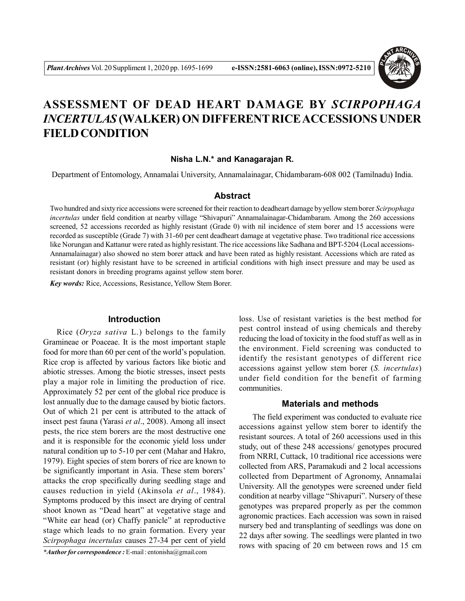

# **ASSESSMENT OF DEAD HEART DAMAGE BY** *SCIRPOPHAGA INCERTULAS* **(WALKER) ON DIFFERENT RICE ACCESSIONS UNDER FIELD CONDITION**

## **Nisha L.N.\* and Kanagarajan R.**

Department of Entomology, Annamalai University, Annamalainagar, Chidambaram-608 002 (Tamilnadu) India.

### **Abstract**

Two hundred and sixty rice accessions were screened for their reaction to deadheart damage by yellow stem borer *Scirpophaga incertulas* under field condition at nearby village "Shivapuri" Annamalainagar-Chidambaram. Among the 260 accessions screened, 52 accessions recorded as highly resistant (Grade 0) with nil incidence of stem borer and 15 accessions were recorded as susceptible (Grade 7) with 31-60 per cent deadheart damage at vegetative phase. Two traditional rice accessions like Norungan and Kattanur were rated as highly resistant. The rice accessions like Sadhana and BPT-5204 (Local accessions-Annamalainagar) also showed no stem borer attack and have been rated as highly resistant. Accessions which are rated as resistant (or) highly resistant have to be screened in artificial conditions with high insect pressure and may be used as resistant donors in breeding programs against yellow stem borer.

*Key words:* Rice, Accessions, Resistance, Yellow Stem Borer.

#### **Introduction**

Rice (*Oryza sativa* L.) belongs to the family Gramineae or Poaceae. It is the most important staple food for more than 60 per cent of the world's population. Rice crop is affected by various factors like biotic and abiotic stresses. Among the biotic stresses, insect pests play a major role in limiting the production of rice. Approximately 52 per cent of the global rice produce is lost annually due to the damage caused by biotic factors. Out of which 21 per cent is attributed to the attack of insect pest fauna (Yarasi *et al*., 2008). Among all insect pests, the rice stem borers are the most destructive one and it is responsible for the economic yield loss under natural condition up to 5-10 per cent (Mahar and Hakro, 1979). Eight species of stem borers of rice are known to be significantly important in Asia. These stem borers' attacks the crop specifically during seedling stage and causes reduction in yield (Akinsola *et al*., 1984). Symptoms produced by this insect are drying of central shoot known as "Dead heart" at vegetative stage and "White ear head (or) Chaffy panicle" at reproductive stage which leads to no grain formation. Every year *Scirpophaga incertulas* causes 27-34 per cent of yield

*\*Author for correspondence :* E-mail : entonisha@gmail.com

loss. Use of resistant varieties is the best method for pest control instead of using chemicals and thereby reducing the load of toxicity in the food stuff as well as in the environment. Field screening was conducted to identify the resistant genotypes of different rice accessions against yellow stem borer (*S. incertulas*) under field condition for the benefit of farming communities.

#### **Materials and methods**

The field experiment was conducted to evaluate rice accessions against yellow stem borer to identify the resistant sources. A total of 260 accessions used in this study, out of these 248 accessions/ genotypes procured from NRRI, Cuttack, 10 traditional rice accessions were collected from ARS, Paramakudi and 2 local accessions collected from Department of Agronomy, Annamalai University. All the genotypes were screened under field condition at nearby village "Shivapuri". Nursery of these genotypes was prepared properly as per the common agronomic practices. Each accession was sown in raised nursery bed and transplanting of seedlings was done on 22 days after sowing. The seedlings were planted in two rows with spacing of 20 cm between rows and 15 cm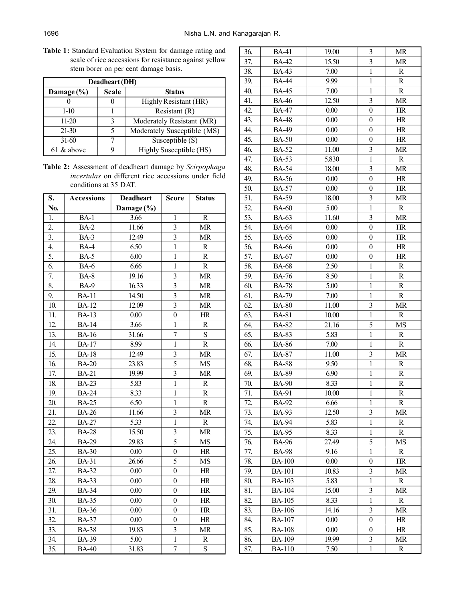**Table 1:** Standard Evaluation System for damage rating and scale of rice accessions for resistance against yellow stem borer on per cent damage basis.

| Deadheart (DH) |              |                             |  |  |
|----------------|--------------|-----------------------------|--|--|
| Damage (%)     | <b>Scale</b> | <b>Status</b>               |  |  |
|                |              | Highly Resistant (HR)       |  |  |
| $1-10$         |              | Resistant(R)                |  |  |
| $11-20$        | 3            | Moderately Resistant (MR)   |  |  |
| $21 - 30$      | 5            | Moderately Susceptible (MS) |  |  |
| $31-60$        |              | Susceptible $(S)$           |  |  |
| $61$ & above   |              | Highly Susceptible (HS)     |  |  |

**Table 2:** Assessment of deadheart damage by *Scirpophaga incertulas* on different rice accessions under field conditions at 35 DAT.

| S.               | <b>Accessions</b> | <b>Deadheart</b>  | <b>Score</b>            | <b>Status</b>  |
|------------------|-------------------|-------------------|-------------------------|----------------|
| No.              |                   | Damage (%)        |                         |                |
| 1.               | $BA-1$            | $\overline{3.66}$ | 1                       | $\overline{R}$ |
| $\overline{2}$ . | BA-2              | 11.66             | 3                       | <b>MR</b>      |
| 3.               | <b>BA-3</b>       | 12.49             | 3                       | MR             |
| 4.               | BA-4              | 6.50              | $\mathbf{1}$            | $\mathbb R$    |
| $\overline{5}$ . | <b>BA-5</b>       | 6.00              | $\mathbf 1$             | $\mathbf R$    |
| 6.               | <b>BA-6</b>       | 6.66              | $\mathbf{1}$            | $\mathbf R$    |
| 7.               | <b>BA-8</b>       | 19.16             | 3                       | <b>MR</b>      |
| 8.               | <b>BA-9</b>       | 16.33             | 3                       | <b>MR</b>      |
| 9.               | <b>BA-11</b>      | 14.50             | $\overline{\mathbf{3}}$ | <b>MR</b>      |
| 10.              | <b>BA-12</b>      | 12.09             | $\overline{\mathbf{3}}$ | <b>MR</b>      |
| 11.              | <b>BA-13</b>      | 0.00              | $\overline{0}$          | HR             |
| 12.              | <b>BA-14</b>      | 3.66              | $\mathbf{1}$            | $\mathbf R$    |
| 13.              | <b>BA-16</b>      | 31.66             | $\overline{7}$          | S              |
| 14.              | <b>BA-17</b>      | 8.99              | $\mathbf{1}$            | $\mathbf R$    |
| 15.              | <b>BA-18</b>      | 12.49             | $\overline{\mathbf{3}}$ | <b>MR</b>      |
| 16.              | <b>BA-20</b>      | 23.83             | 5                       | MS             |
| 17.              | <b>BA-21</b>      | 19.99             | $\overline{\mathbf{3}}$ | <b>MR</b>      |
| 18.              | <b>BA-23</b>      | 5.83              | $\mathbf{1}$            | $\mathbf R$    |
| 19.              | <b>BA-24</b>      | 8.33              | $\mathbf{1}$            | $\mathbf R$    |
| 20.              | <b>BA-25</b>      | 6.50              | $\,1$                   | $\mathbf R$    |
| 21.              | <b>BA-26</b>      | 11.66             | $\overline{\mathbf{3}}$ | <b>MR</b>      |
| 22.              | <b>BA-27</b>      | 5.33              | $\,1$                   | ${\bf R}$      |
| 23.              | <b>BA-28</b>      | 15.50             | 3                       | <b>MR</b>      |
| 24.              | <b>BA-29</b>      | 29.83             | 5                       | MS             |
| 25.              | <b>BA-30</b>      | 0.00              | $\boldsymbol{0}$        | HR             |
| 26.              | <b>BA-31</b>      | 26.66             | 5                       | MS             |
| 27.              | <b>BA-32</b>      | 0.00              | $\boldsymbol{0}$        | HR             |
| 28.              | <b>BA-33</b>      | 0.00              | $\boldsymbol{0}$        | HR             |
| 29.              | <b>BA-34</b>      | 0.00              | $\boldsymbol{0}$        | HR             |
| 30.              | <b>BA-35</b>      | 0.00              | $\boldsymbol{0}$        | HR             |
| 31.              | <b>BA-36</b>      | 0.00              | $\boldsymbol{0}$        | HR             |
| 32.              | <b>BA-37</b>      | 0.00              | $\boldsymbol{0}$        | HR             |
| 33.              | <b>BA-38</b>      | 19.83             | 3                       | <b>MR</b>      |
| 34.              | <b>BA-39</b>      | 5.00              | $\,1$                   | $\mathbb R$    |
| 35.              | <b>BA-40</b>      | 31.83             | $\overline{7}$          | S              |

| 36. | <b>BA-41</b>  | 19.00    | 3                       | <b>MR</b>   |
|-----|---------------|----------|-------------------------|-------------|
| 37. | <b>BA-42</b>  | 15.50    | $\overline{\mathbf{3}}$ | <b>MR</b>   |
| 38. | <b>BA-43</b>  | 7.00     | $\mathbf 1$             | $\mathbf R$ |
| 39. | <b>BA-44</b>  | 9.99     | $\mathbf{1}$            | $\mathbf R$ |
| 40. | <b>BA-45</b>  | 7.00     | $\mathbf{1}$            | $\mathbf R$ |
| 41. | <b>BA-46</b>  | 12.50    | 3                       | <b>MR</b>   |
| 42. | <b>BA-47</b>  | 0.00     | $\boldsymbol{0}$        | HR          |
| 43. | <b>BA-48</b>  | 0.00     | $\boldsymbol{0}$        | HR          |
| 44. | <b>BA-49</b>  | 0.00     | $\boldsymbol{0}$        | HR          |
| 45. | <b>BA-50</b>  | 0.00     | $\boldsymbol{0}$        | HR          |
| 46. | <b>BA-52</b>  | 11.00    | 3                       | <b>MR</b>   |
| 47. | <b>BA-53</b>  | 5.830    | $\mathbf{1}$            | $\mathbf R$ |
| 48. | <b>BA-54</b>  | 18.00    | 3                       | MR          |
| 49. | <b>BA-56</b>  | 0.00     | $\boldsymbol{0}$        | HR          |
| 50. | <b>BA-57</b>  | 0.00     | $\boldsymbol{0}$        | HR          |
| 51. | <b>BA-59</b>  | 18.00    | 3                       | MR          |
| 52. | <b>BA-60</b>  | 5.00     | $\mathbf{1}$            | $\mathbf R$ |
| 53. | <b>BA-63</b>  | 11.60    | $\overline{3}$          | <b>MR</b>   |
| 54. | <b>BA-64</b>  | 0.00     | $\boldsymbol{0}$        | HR          |
| 55. | <b>BA-65</b>  | 0.00     | $\boldsymbol{0}$        | HR          |
| 56. | <b>BA-66</b>  | $0.00\,$ | $\boldsymbol{0}$        | HR          |
| 57. | <b>BA-67</b>  | 0.00     | $\boldsymbol{0}$        | HR          |
| 58. | <b>BA-68</b>  | 2.50     | $\,1$                   | R           |
| 59. | <b>BA-76</b>  | 8.50     | $\mathbf{1}$            | $\mathbf R$ |
| 60. | <b>BA-78</b>  | 5.00     | $\mathbf{1}$            | $\mathbf R$ |
| 61. | <b>BA-79</b>  | 7.00     | $\mathbf{1}$            | $\mathbf R$ |
| 62. | <b>BA-80</b>  | 11.00    | 3                       | MR          |
| 63. | <b>BA-81</b>  | 10.00    | $\mathbf{1}$            | R           |
| 64. | <b>BA-82</b>  | 21.16    | 5                       | MS          |
| 65. | <b>BA-83</b>  | 5.83     | $\,1$                   | R           |
| 66. | <b>BA-86</b>  | 7.00     | $\,1$                   | $\mathbf R$ |
| 67. | <b>BA-87</b>  | 11.00    | 3                       | MR          |
| 68. | <b>BA-88</b>  | 9.50     | $\mathbf{1}$            | $\mathbf R$ |
| 69. | <b>BA-89</b>  | 6.90     | $\mathbf 1$             | $\mathbf R$ |
| 70. | <b>BA-90</b>  | 8.33     | $\mathbf{1}$            | R           |
| 71. | <b>BA-91</b>  | 10.00    | 1                       | R           |
| 72. | <b>BA-92</b>  | 6.66     | 1                       | $\mathbf R$ |
| 73. | <b>BA-93</b>  | 12.50    | 3                       | <b>MR</b>   |
| 74. | <b>BA-94</b>  | 5.83     | $\mathbf{1}$            | $\mathbf R$ |
| 75. | <b>BA-95</b>  | 8.33     | 1                       | R           |
| 76. | <b>BA-96</b>  | 27.49    | 5                       | <b>MS</b>   |
| 77. | <b>BA-98</b>  | 9.16     | $\,1$                   | R           |
| 78. | <b>BA-100</b> | 0.00     | $\boldsymbol{0}$        | HR          |
| 79. | <b>BA-101</b> | 10.83    | 3                       | MR          |
| 80. | <b>BA-103</b> | 5.83     | $\mathbf{1}$            | R           |
| 81. | <b>BA-104</b> | 15.00    | 3                       | MR          |
| 82. | <b>BA-105</b> | 8.33     | $\mathbf{1}$            | $\mathbf R$ |
| 83. | <b>BA-106</b> | 14.16    | 3                       | MR          |
| 84. | <b>BA-107</b> | 0.00     | 0                       | HR          |
| 85. | <b>BA-108</b> | 0.00     | 0                       | HR          |
| 86. | <b>BA-109</b> | 19.99    | 3                       | MR          |
| 87. | <b>BA-110</b> | 7.50     | $\mathbf{1}$            | R           |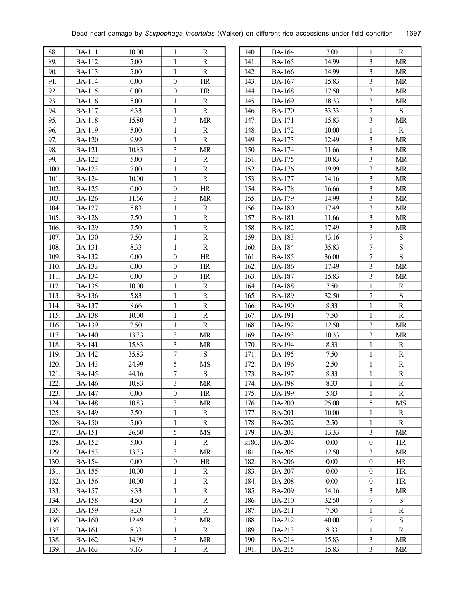| 88.  | <b>BA-111</b> | 10.00 | 1                       | R           |
|------|---------------|-------|-------------------------|-------------|
| 89.  | <b>BA-112</b> | 5.00  | $\mathbf{1}$            | $\mathbb R$ |
| 90.  | <b>BA-113</b> | 5.00  | $\mathbf{1}$            | $\mathbf R$ |
| 91.  | <b>BA-114</b> | 0.00  | $\boldsymbol{0}$        | HR          |
| 92.  | <b>BA-115</b> | 0.00  | $\boldsymbol{0}$        | HR          |
| 93.  | <b>BA-116</b> | 5.00  | $\mathbf{1}$            | $\mathbf R$ |
| 94.  | <b>BA-117</b> | 8.33  | $\,1$                   | $\mathbf R$ |
| 95.  | <b>BA-118</b> | 15.80 | 3                       | <b>MR</b>   |
| 96.  | <b>BA-119</b> | 5.00  | $\,1$                   | R           |
| 97.  | <b>BA-120</b> | 9.99  | $\,1$                   | $\mathbf R$ |
| 98.  | <b>BA-121</b> | 10.83 | 3                       | <b>MR</b>   |
| 99.  | <b>BA-122</b> | 5.00  | $\mathbf{1}$            | R           |
| 100. | <b>BA-123</b> | 7.00  | $\,1$                   | $\mathbf R$ |
| 101. | <b>BA-124</b> | 10.00 | $\mathbf{1}$            | $\mathbf R$ |
| 102. | <b>BA-125</b> | 0.00  | $\boldsymbol{0}$        | HR          |
| 103. | <b>BA-126</b> | 11.66 | 3                       | <b>MR</b>   |
| 104. | <b>BA-127</b> | 5.83  | $\mathbf{1}$            | R           |
| 105. | <b>BA-128</b> | 7.50  | $\,1$                   | R           |
| 106. | <b>BA-129</b> | 7.50  | $\,1$                   | $\mathbf R$ |
| 107. | <b>BA-130</b> | 7.50  | $\mathbf{1}$            | $\mathbf R$ |
| 108. | <b>BA-131</b> | 8.33  | $\mathbf{1}$            | $\mathbf R$ |
| 109. | <b>BA-132</b> | 0.00  | $\boldsymbol{0}$        | HR          |
| 110. | <b>BA-133</b> | 0.00  | $\boldsymbol{0}$        | HR          |
| 111. | <b>BA-134</b> | 0.00  | $\boldsymbol{0}$        | HR          |
| 112. | BA-135        | 10.00 | 1                       | R           |
| 113. | <b>BA-136</b> | 5.83  | $\,1$                   | $\mathbf R$ |
| 114. | <b>BA-137</b> | 8.66  | $\mathbf 1$             | $\mathbf R$ |
| 115. | <b>BA-138</b> | 10.00 | $\mathbf{1}$            | $\mathbf R$ |
| 116. | <b>BA-139</b> | 2.50  | $\mathbf{1}$            | $\mathbf R$ |
| 117. | <b>BA-140</b> | 13.33 | 3                       | <b>MR</b>   |
| 118. | <b>BA-141</b> | 15.83 | $\overline{\mathbf{3}}$ | <b>MR</b>   |
| 119. | <b>BA-142</b> | 35.83 | $\overline{7}$          | S           |
| 120. | <b>BA-143</b> | 24.99 | 5                       | MS          |
| 121. | <b>BA-145</b> | 44.16 | $\overline{7}$          | ${\bf S}$   |
| 122. | <b>BA-146</b> | 10.83 | $\overline{\mathbf{3}}$ | <b>MR</b>   |
| 123. | <b>BA-147</b> | 0.00  | $\boldsymbol{0}$        | HR          |
| 124. | <b>BA-148</b> | 10.83 | 3                       | <b>MR</b>   |
| 125. | <b>BA-149</b> | 7.50  | 1                       | R           |
| 126. | <b>BA-150</b> | 5.00  | 1                       | R           |
| 127. | BA-151        | 26.60 | 5                       | MS          |
| 128. | <b>BA-152</b> | 5.00  | $\mathbf{1}$            | $\mathbf R$ |
| 129. | <b>BA-153</b> | 13.33 | 3                       | <b>MR</b>   |
| 130. | <b>BA-154</b> | 0.00  | $\boldsymbol{0}$        | HR          |
| 131. | <b>BA-155</b> | 10.00 | 1                       | R           |
| 132. | <b>BA-156</b> | 10.00 | 1                       | R           |
| 133. | BA-157        | 8.33  | 1                       | R           |
| 134. | BA-158        | 4.50  | 1                       | R           |
| 135. | <b>BA-159</b> | 8.33  | 1                       | R           |
| 136. | <b>BA-160</b> | 12.49 | 3                       | <b>MR</b>   |
| 137. | <b>BA-161</b> | 8.33  | $\mathbf{1}$            | $\mathbf R$ |
| 138. | <b>BA-162</b> | 14.99 | 3                       | <b>MR</b>   |
| 139. | <b>BA-163</b> | 9.16  | $\mathbf{1}$            | R           |
|      |               |       |                         |             |

| 3<br>141.<br><b>BA-165</b><br>14.99<br>MR<br>$\overline{\mathbf{3}}$<br>142.<br>14.99<br><b>MR</b><br><b>BA-166</b><br>$\overline{\mathbf{3}}$<br>143.<br><b>MR</b><br><b>BA-167</b><br>15.83<br>3<br>144.<br>17.50<br>MR<br>BA-168<br>3<br>145.<br><b>BA-169</b><br>18.33<br>MR<br>$\overline{7}$<br>S<br>146.<br><b>BA-170</b><br>33.33<br>$\overline{\mathbf{3}}$<br>147.<br>15.83<br><b>MR</b><br><b>BA-171</b><br>$\mathbf{1}$<br>148.<br>10.00<br>$\mathbf R$<br><b>BA-172</b><br>3<br>149.<br>12.49<br><b>MR</b><br><b>BA-173</b><br>$\overline{\mathbf{3}}$<br><b>MR</b><br>150.<br><b>BA-174</b><br>11.66<br>3<br>151.<br><b>BA-175</b><br>10.83<br>MR<br>3<br>152.<br><b>BA-176</b><br>MR<br>19.99<br>$\overline{\mathbf{3}}$<br>153.<br>MR<br><b>BA-177</b><br>14.16<br>$\overline{\mathbf{3}}$<br>154.<br>16.66<br><b>MR</b><br><b>BA-178</b><br>$\overline{3}$<br>155.<br>14.99<br>MR<br><b>BA-179</b><br>$\overline{\mathbf{3}}$<br>156.<br><b>BA-180</b><br>17.49<br><b>MR</b><br>$\overline{\mathbf{3}}$<br><b>MR</b><br>157.<br><b>BA-181</b><br>11.66<br>3<br>158.<br><b>BA-182</b><br>17.49<br><b>MR</b><br>$\overline{7}$<br>159.<br><b>BA-183</b><br>43.16<br>S<br>$\overline{7}$<br>S<br>160.<br><b>BA-184</b><br>35.83<br>$\overline{7}$<br>S<br>161.<br><b>BA-185</b><br>36.00<br>$\overline{\mathbf{3}}$<br><b>MR</b><br>162.<br>17.49<br><b>BA-186</b><br>3<br>15.83<br><b>MR</b><br>163.<br><b>BA-187</b><br>$\mathbf{1}$<br>164.<br>7.50<br><b>BA-188</b><br>R<br>165.<br><b>BA-189</b><br>32.50<br>7<br>S<br>166.<br><b>BA-190</b><br>8.33<br>$\,1$<br>$\mathbf R$<br>$\,1$<br>R<br>167.<br><b>BA-191</b><br>7.50<br>$\overline{\mathbf{3}}$<br><b>MR</b><br>168.<br><b>BA-192</b><br>12.50<br>$\overline{3}$<br>169.<br><b>BA-193</b><br>10.33<br><b>MR</b><br>$\mathbf 1$<br>170.<br><b>BA-194</b><br>8.33<br>R<br>$\mathbf 1$<br>7.50<br>R<br>171.<br><b>BA-195</b><br>$\,1$<br>172.<br>2.50<br>R<br><b>BA-196</b><br>173.<br><b>BA-197</b><br>8.33<br>$\,1$<br>R<br>$\,1$<br>174.<br><b>BA-198</b><br>8.33<br>R<br><b>BA-199</b><br>5.83<br>R<br>175.<br>1<br>5<br>176.<br><b>BA-200</b><br>25.00<br>MS<br>$\mathbf{1}$<br>177.<br><b>BA-201</b><br>10.00<br>R<br>2.50<br>$\,1$<br>178.<br>R<br><b>BA-202</b><br>3<br>179.<br>MR<br><b>BA-203</b><br>13.33<br>k180.<br>HR<br><b>BA-204</b><br>0.00<br>$\boldsymbol{0}$<br>12.50<br>181.<br><b>BA-205</b><br>3<br>MR<br>182.<br>$\boldsymbol{0}$<br>HR<br><b>BA-206</b><br>0.00<br>$\boldsymbol{0}$<br>183.<br>0.00<br>HR<br>BA-207<br>184.<br>0.00<br>$\boldsymbol{0}$<br>HR<br><b>BA-208</b><br>3<br>185.<br>14.16<br>MR<br>BA-209<br>$\boldsymbol{7}$<br>32.50<br>186.<br>BA-210<br>S<br>7.50<br>$\mathbf{1}$<br>187.<br><b>BA-211</b><br>R<br>$\boldsymbol{7}$<br><b>BA-212</b><br>40.00<br>S<br>188.<br><b>BA-213</b><br>$\mathbf{1}$<br>8.33<br>$\mathbf R$<br>189.<br>$\overline{\mathbf{3}}$<br>MR<br>190.<br>BA-214<br>15.83 | 140. | BA-164 | 7.00  | 1 | R  |
|-----------------------------------------------------------------------------------------------------------------------------------------------------------------------------------------------------------------------------------------------------------------------------------------------------------------------------------------------------------------------------------------------------------------------------------------------------------------------------------------------------------------------------------------------------------------------------------------------------------------------------------------------------------------------------------------------------------------------------------------------------------------------------------------------------------------------------------------------------------------------------------------------------------------------------------------------------------------------------------------------------------------------------------------------------------------------------------------------------------------------------------------------------------------------------------------------------------------------------------------------------------------------------------------------------------------------------------------------------------------------------------------------------------------------------------------------------------------------------------------------------------------------------------------------------------------------------------------------------------------------------------------------------------------------------------------------------------------------------------------------------------------------------------------------------------------------------------------------------------------------------------------------------------------------------------------------------------------------------------------------------------------------------------------------------------------------------------------------------------------------------------------------------------------------------------------------------------------------------------------------------------------------------------------------------------------------------------------------------------------------------------------------------------------------------------------------------------------------------------------------------------------------------------------------------------------------------------------------------------------------------------------------------------------------------------------------------------------------------------------------------------------------------------------------------------------------------------------------------------------------------------------------------------------------|------|--------|-------|---|----|
|                                                                                                                                                                                                                                                                                                                                                                                                                                                                                                                                                                                                                                                                                                                                                                                                                                                                                                                                                                                                                                                                                                                                                                                                                                                                                                                                                                                                                                                                                                                                                                                                                                                                                                                                                                                                                                                                                                                                                                                                                                                                                                                                                                                                                                                                                                                                                                                                                                                                                                                                                                                                                                                                                                                                                                                                                                                                                                                       |      |        |       |   |    |
|                                                                                                                                                                                                                                                                                                                                                                                                                                                                                                                                                                                                                                                                                                                                                                                                                                                                                                                                                                                                                                                                                                                                                                                                                                                                                                                                                                                                                                                                                                                                                                                                                                                                                                                                                                                                                                                                                                                                                                                                                                                                                                                                                                                                                                                                                                                                                                                                                                                                                                                                                                                                                                                                                                                                                                                                                                                                                                                       |      |        |       |   |    |
|                                                                                                                                                                                                                                                                                                                                                                                                                                                                                                                                                                                                                                                                                                                                                                                                                                                                                                                                                                                                                                                                                                                                                                                                                                                                                                                                                                                                                                                                                                                                                                                                                                                                                                                                                                                                                                                                                                                                                                                                                                                                                                                                                                                                                                                                                                                                                                                                                                                                                                                                                                                                                                                                                                                                                                                                                                                                                                                       |      |        |       |   |    |
|                                                                                                                                                                                                                                                                                                                                                                                                                                                                                                                                                                                                                                                                                                                                                                                                                                                                                                                                                                                                                                                                                                                                                                                                                                                                                                                                                                                                                                                                                                                                                                                                                                                                                                                                                                                                                                                                                                                                                                                                                                                                                                                                                                                                                                                                                                                                                                                                                                                                                                                                                                                                                                                                                                                                                                                                                                                                                                                       |      |        |       |   |    |
|                                                                                                                                                                                                                                                                                                                                                                                                                                                                                                                                                                                                                                                                                                                                                                                                                                                                                                                                                                                                                                                                                                                                                                                                                                                                                                                                                                                                                                                                                                                                                                                                                                                                                                                                                                                                                                                                                                                                                                                                                                                                                                                                                                                                                                                                                                                                                                                                                                                                                                                                                                                                                                                                                                                                                                                                                                                                                                                       |      |        |       |   |    |
|                                                                                                                                                                                                                                                                                                                                                                                                                                                                                                                                                                                                                                                                                                                                                                                                                                                                                                                                                                                                                                                                                                                                                                                                                                                                                                                                                                                                                                                                                                                                                                                                                                                                                                                                                                                                                                                                                                                                                                                                                                                                                                                                                                                                                                                                                                                                                                                                                                                                                                                                                                                                                                                                                                                                                                                                                                                                                                                       |      |        |       |   |    |
|                                                                                                                                                                                                                                                                                                                                                                                                                                                                                                                                                                                                                                                                                                                                                                                                                                                                                                                                                                                                                                                                                                                                                                                                                                                                                                                                                                                                                                                                                                                                                                                                                                                                                                                                                                                                                                                                                                                                                                                                                                                                                                                                                                                                                                                                                                                                                                                                                                                                                                                                                                                                                                                                                                                                                                                                                                                                                                                       |      |        |       |   |    |
|                                                                                                                                                                                                                                                                                                                                                                                                                                                                                                                                                                                                                                                                                                                                                                                                                                                                                                                                                                                                                                                                                                                                                                                                                                                                                                                                                                                                                                                                                                                                                                                                                                                                                                                                                                                                                                                                                                                                                                                                                                                                                                                                                                                                                                                                                                                                                                                                                                                                                                                                                                                                                                                                                                                                                                                                                                                                                                                       |      |        |       |   |    |
|                                                                                                                                                                                                                                                                                                                                                                                                                                                                                                                                                                                                                                                                                                                                                                                                                                                                                                                                                                                                                                                                                                                                                                                                                                                                                                                                                                                                                                                                                                                                                                                                                                                                                                                                                                                                                                                                                                                                                                                                                                                                                                                                                                                                                                                                                                                                                                                                                                                                                                                                                                                                                                                                                                                                                                                                                                                                                                                       |      |        |       |   |    |
|                                                                                                                                                                                                                                                                                                                                                                                                                                                                                                                                                                                                                                                                                                                                                                                                                                                                                                                                                                                                                                                                                                                                                                                                                                                                                                                                                                                                                                                                                                                                                                                                                                                                                                                                                                                                                                                                                                                                                                                                                                                                                                                                                                                                                                                                                                                                                                                                                                                                                                                                                                                                                                                                                                                                                                                                                                                                                                                       |      |        |       |   |    |
|                                                                                                                                                                                                                                                                                                                                                                                                                                                                                                                                                                                                                                                                                                                                                                                                                                                                                                                                                                                                                                                                                                                                                                                                                                                                                                                                                                                                                                                                                                                                                                                                                                                                                                                                                                                                                                                                                                                                                                                                                                                                                                                                                                                                                                                                                                                                                                                                                                                                                                                                                                                                                                                                                                                                                                                                                                                                                                                       |      |        |       |   |    |
|                                                                                                                                                                                                                                                                                                                                                                                                                                                                                                                                                                                                                                                                                                                                                                                                                                                                                                                                                                                                                                                                                                                                                                                                                                                                                                                                                                                                                                                                                                                                                                                                                                                                                                                                                                                                                                                                                                                                                                                                                                                                                                                                                                                                                                                                                                                                                                                                                                                                                                                                                                                                                                                                                                                                                                                                                                                                                                                       |      |        |       |   |    |
|                                                                                                                                                                                                                                                                                                                                                                                                                                                                                                                                                                                                                                                                                                                                                                                                                                                                                                                                                                                                                                                                                                                                                                                                                                                                                                                                                                                                                                                                                                                                                                                                                                                                                                                                                                                                                                                                                                                                                                                                                                                                                                                                                                                                                                                                                                                                                                                                                                                                                                                                                                                                                                                                                                                                                                                                                                                                                                                       |      |        |       |   |    |
|                                                                                                                                                                                                                                                                                                                                                                                                                                                                                                                                                                                                                                                                                                                                                                                                                                                                                                                                                                                                                                                                                                                                                                                                                                                                                                                                                                                                                                                                                                                                                                                                                                                                                                                                                                                                                                                                                                                                                                                                                                                                                                                                                                                                                                                                                                                                                                                                                                                                                                                                                                                                                                                                                                                                                                                                                                                                                                                       |      |        |       |   |    |
|                                                                                                                                                                                                                                                                                                                                                                                                                                                                                                                                                                                                                                                                                                                                                                                                                                                                                                                                                                                                                                                                                                                                                                                                                                                                                                                                                                                                                                                                                                                                                                                                                                                                                                                                                                                                                                                                                                                                                                                                                                                                                                                                                                                                                                                                                                                                                                                                                                                                                                                                                                                                                                                                                                                                                                                                                                                                                                                       |      |        |       |   |    |
|                                                                                                                                                                                                                                                                                                                                                                                                                                                                                                                                                                                                                                                                                                                                                                                                                                                                                                                                                                                                                                                                                                                                                                                                                                                                                                                                                                                                                                                                                                                                                                                                                                                                                                                                                                                                                                                                                                                                                                                                                                                                                                                                                                                                                                                                                                                                                                                                                                                                                                                                                                                                                                                                                                                                                                                                                                                                                                                       |      |        |       |   |    |
|                                                                                                                                                                                                                                                                                                                                                                                                                                                                                                                                                                                                                                                                                                                                                                                                                                                                                                                                                                                                                                                                                                                                                                                                                                                                                                                                                                                                                                                                                                                                                                                                                                                                                                                                                                                                                                                                                                                                                                                                                                                                                                                                                                                                                                                                                                                                                                                                                                                                                                                                                                                                                                                                                                                                                                                                                                                                                                                       |      |        |       |   |    |
|                                                                                                                                                                                                                                                                                                                                                                                                                                                                                                                                                                                                                                                                                                                                                                                                                                                                                                                                                                                                                                                                                                                                                                                                                                                                                                                                                                                                                                                                                                                                                                                                                                                                                                                                                                                                                                                                                                                                                                                                                                                                                                                                                                                                                                                                                                                                                                                                                                                                                                                                                                                                                                                                                                                                                                                                                                                                                                                       |      |        |       |   |    |
|                                                                                                                                                                                                                                                                                                                                                                                                                                                                                                                                                                                                                                                                                                                                                                                                                                                                                                                                                                                                                                                                                                                                                                                                                                                                                                                                                                                                                                                                                                                                                                                                                                                                                                                                                                                                                                                                                                                                                                                                                                                                                                                                                                                                                                                                                                                                                                                                                                                                                                                                                                                                                                                                                                                                                                                                                                                                                                                       |      |        |       |   |    |
|                                                                                                                                                                                                                                                                                                                                                                                                                                                                                                                                                                                                                                                                                                                                                                                                                                                                                                                                                                                                                                                                                                                                                                                                                                                                                                                                                                                                                                                                                                                                                                                                                                                                                                                                                                                                                                                                                                                                                                                                                                                                                                                                                                                                                                                                                                                                                                                                                                                                                                                                                                                                                                                                                                                                                                                                                                                                                                                       |      |        |       |   |    |
|                                                                                                                                                                                                                                                                                                                                                                                                                                                                                                                                                                                                                                                                                                                                                                                                                                                                                                                                                                                                                                                                                                                                                                                                                                                                                                                                                                                                                                                                                                                                                                                                                                                                                                                                                                                                                                                                                                                                                                                                                                                                                                                                                                                                                                                                                                                                                                                                                                                                                                                                                                                                                                                                                                                                                                                                                                                                                                                       |      |        |       |   |    |
|                                                                                                                                                                                                                                                                                                                                                                                                                                                                                                                                                                                                                                                                                                                                                                                                                                                                                                                                                                                                                                                                                                                                                                                                                                                                                                                                                                                                                                                                                                                                                                                                                                                                                                                                                                                                                                                                                                                                                                                                                                                                                                                                                                                                                                                                                                                                                                                                                                                                                                                                                                                                                                                                                                                                                                                                                                                                                                                       |      |        |       |   |    |
|                                                                                                                                                                                                                                                                                                                                                                                                                                                                                                                                                                                                                                                                                                                                                                                                                                                                                                                                                                                                                                                                                                                                                                                                                                                                                                                                                                                                                                                                                                                                                                                                                                                                                                                                                                                                                                                                                                                                                                                                                                                                                                                                                                                                                                                                                                                                                                                                                                                                                                                                                                                                                                                                                                                                                                                                                                                                                                                       |      |        |       |   |    |
|                                                                                                                                                                                                                                                                                                                                                                                                                                                                                                                                                                                                                                                                                                                                                                                                                                                                                                                                                                                                                                                                                                                                                                                                                                                                                                                                                                                                                                                                                                                                                                                                                                                                                                                                                                                                                                                                                                                                                                                                                                                                                                                                                                                                                                                                                                                                                                                                                                                                                                                                                                                                                                                                                                                                                                                                                                                                                                                       |      |        |       |   |    |
|                                                                                                                                                                                                                                                                                                                                                                                                                                                                                                                                                                                                                                                                                                                                                                                                                                                                                                                                                                                                                                                                                                                                                                                                                                                                                                                                                                                                                                                                                                                                                                                                                                                                                                                                                                                                                                                                                                                                                                                                                                                                                                                                                                                                                                                                                                                                                                                                                                                                                                                                                                                                                                                                                                                                                                                                                                                                                                                       |      |        |       |   |    |
|                                                                                                                                                                                                                                                                                                                                                                                                                                                                                                                                                                                                                                                                                                                                                                                                                                                                                                                                                                                                                                                                                                                                                                                                                                                                                                                                                                                                                                                                                                                                                                                                                                                                                                                                                                                                                                                                                                                                                                                                                                                                                                                                                                                                                                                                                                                                                                                                                                                                                                                                                                                                                                                                                                                                                                                                                                                                                                                       |      |        |       |   |    |
|                                                                                                                                                                                                                                                                                                                                                                                                                                                                                                                                                                                                                                                                                                                                                                                                                                                                                                                                                                                                                                                                                                                                                                                                                                                                                                                                                                                                                                                                                                                                                                                                                                                                                                                                                                                                                                                                                                                                                                                                                                                                                                                                                                                                                                                                                                                                                                                                                                                                                                                                                                                                                                                                                                                                                                                                                                                                                                                       |      |        |       |   |    |
|                                                                                                                                                                                                                                                                                                                                                                                                                                                                                                                                                                                                                                                                                                                                                                                                                                                                                                                                                                                                                                                                                                                                                                                                                                                                                                                                                                                                                                                                                                                                                                                                                                                                                                                                                                                                                                                                                                                                                                                                                                                                                                                                                                                                                                                                                                                                                                                                                                                                                                                                                                                                                                                                                                                                                                                                                                                                                                                       |      |        |       |   |    |
|                                                                                                                                                                                                                                                                                                                                                                                                                                                                                                                                                                                                                                                                                                                                                                                                                                                                                                                                                                                                                                                                                                                                                                                                                                                                                                                                                                                                                                                                                                                                                                                                                                                                                                                                                                                                                                                                                                                                                                                                                                                                                                                                                                                                                                                                                                                                                                                                                                                                                                                                                                                                                                                                                                                                                                                                                                                                                                                       |      |        |       |   |    |
|                                                                                                                                                                                                                                                                                                                                                                                                                                                                                                                                                                                                                                                                                                                                                                                                                                                                                                                                                                                                                                                                                                                                                                                                                                                                                                                                                                                                                                                                                                                                                                                                                                                                                                                                                                                                                                                                                                                                                                                                                                                                                                                                                                                                                                                                                                                                                                                                                                                                                                                                                                                                                                                                                                                                                                                                                                                                                                                       |      |        |       |   |    |
|                                                                                                                                                                                                                                                                                                                                                                                                                                                                                                                                                                                                                                                                                                                                                                                                                                                                                                                                                                                                                                                                                                                                                                                                                                                                                                                                                                                                                                                                                                                                                                                                                                                                                                                                                                                                                                                                                                                                                                                                                                                                                                                                                                                                                                                                                                                                                                                                                                                                                                                                                                                                                                                                                                                                                                                                                                                                                                                       |      |        |       |   |    |
|                                                                                                                                                                                                                                                                                                                                                                                                                                                                                                                                                                                                                                                                                                                                                                                                                                                                                                                                                                                                                                                                                                                                                                                                                                                                                                                                                                                                                                                                                                                                                                                                                                                                                                                                                                                                                                                                                                                                                                                                                                                                                                                                                                                                                                                                                                                                                                                                                                                                                                                                                                                                                                                                                                                                                                                                                                                                                                                       |      |        |       |   |    |
|                                                                                                                                                                                                                                                                                                                                                                                                                                                                                                                                                                                                                                                                                                                                                                                                                                                                                                                                                                                                                                                                                                                                                                                                                                                                                                                                                                                                                                                                                                                                                                                                                                                                                                                                                                                                                                                                                                                                                                                                                                                                                                                                                                                                                                                                                                                                                                                                                                                                                                                                                                                                                                                                                                                                                                                                                                                                                                                       |      |        |       |   |    |
|                                                                                                                                                                                                                                                                                                                                                                                                                                                                                                                                                                                                                                                                                                                                                                                                                                                                                                                                                                                                                                                                                                                                                                                                                                                                                                                                                                                                                                                                                                                                                                                                                                                                                                                                                                                                                                                                                                                                                                                                                                                                                                                                                                                                                                                                                                                                                                                                                                                                                                                                                                                                                                                                                                                                                                                                                                                                                                                       |      |        |       |   |    |
|                                                                                                                                                                                                                                                                                                                                                                                                                                                                                                                                                                                                                                                                                                                                                                                                                                                                                                                                                                                                                                                                                                                                                                                                                                                                                                                                                                                                                                                                                                                                                                                                                                                                                                                                                                                                                                                                                                                                                                                                                                                                                                                                                                                                                                                                                                                                                                                                                                                                                                                                                                                                                                                                                                                                                                                                                                                                                                                       |      |        |       |   |    |
|                                                                                                                                                                                                                                                                                                                                                                                                                                                                                                                                                                                                                                                                                                                                                                                                                                                                                                                                                                                                                                                                                                                                                                                                                                                                                                                                                                                                                                                                                                                                                                                                                                                                                                                                                                                                                                                                                                                                                                                                                                                                                                                                                                                                                                                                                                                                                                                                                                                                                                                                                                                                                                                                                                                                                                                                                                                                                                                       |      |        |       |   |    |
|                                                                                                                                                                                                                                                                                                                                                                                                                                                                                                                                                                                                                                                                                                                                                                                                                                                                                                                                                                                                                                                                                                                                                                                                                                                                                                                                                                                                                                                                                                                                                                                                                                                                                                                                                                                                                                                                                                                                                                                                                                                                                                                                                                                                                                                                                                                                                                                                                                                                                                                                                                                                                                                                                                                                                                                                                                                                                                                       |      |        |       |   |    |
|                                                                                                                                                                                                                                                                                                                                                                                                                                                                                                                                                                                                                                                                                                                                                                                                                                                                                                                                                                                                                                                                                                                                                                                                                                                                                                                                                                                                                                                                                                                                                                                                                                                                                                                                                                                                                                                                                                                                                                                                                                                                                                                                                                                                                                                                                                                                                                                                                                                                                                                                                                                                                                                                                                                                                                                                                                                                                                                       |      |        |       |   |    |
|                                                                                                                                                                                                                                                                                                                                                                                                                                                                                                                                                                                                                                                                                                                                                                                                                                                                                                                                                                                                                                                                                                                                                                                                                                                                                                                                                                                                                                                                                                                                                                                                                                                                                                                                                                                                                                                                                                                                                                                                                                                                                                                                                                                                                                                                                                                                                                                                                                                                                                                                                                                                                                                                                                                                                                                                                                                                                                                       |      |        |       |   |    |
|                                                                                                                                                                                                                                                                                                                                                                                                                                                                                                                                                                                                                                                                                                                                                                                                                                                                                                                                                                                                                                                                                                                                                                                                                                                                                                                                                                                                                                                                                                                                                                                                                                                                                                                                                                                                                                                                                                                                                                                                                                                                                                                                                                                                                                                                                                                                                                                                                                                                                                                                                                                                                                                                                                                                                                                                                                                                                                                       |      |        |       |   |    |
|                                                                                                                                                                                                                                                                                                                                                                                                                                                                                                                                                                                                                                                                                                                                                                                                                                                                                                                                                                                                                                                                                                                                                                                                                                                                                                                                                                                                                                                                                                                                                                                                                                                                                                                                                                                                                                                                                                                                                                                                                                                                                                                                                                                                                                                                                                                                                                                                                                                                                                                                                                                                                                                                                                                                                                                                                                                                                                                       |      |        |       |   |    |
|                                                                                                                                                                                                                                                                                                                                                                                                                                                                                                                                                                                                                                                                                                                                                                                                                                                                                                                                                                                                                                                                                                                                                                                                                                                                                                                                                                                                                                                                                                                                                                                                                                                                                                                                                                                                                                                                                                                                                                                                                                                                                                                                                                                                                                                                                                                                                                                                                                                                                                                                                                                                                                                                                                                                                                                                                                                                                                                       |      |        |       |   |    |
|                                                                                                                                                                                                                                                                                                                                                                                                                                                                                                                                                                                                                                                                                                                                                                                                                                                                                                                                                                                                                                                                                                                                                                                                                                                                                                                                                                                                                                                                                                                                                                                                                                                                                                                                                                                                                                                                                                                                                                                                                                                                                                                                                                                                                                                                                                                                                                                                                                                                                                                                                                                                                                                                                                                                                                                                                                                                                                                       |      |        |       |   |    |
|                                                                                                                                                                                                                                                                                                                                                                                                                                                                                                                                                                                                                                                                                                                                                                                                                                                                                                                                                                                                                                                                                                                                                                                                                                                                                                                                                                                                                                                                                                                                                                                                                                                                                                                                                                                                                                                                                                                                                                                                                                                                                                                                                                                                                                                                                                                                                                                                                                                                                                                                                                                                                                                                                                                                                                                                                                                                                                                       |      |        |       |   |    |
|                                                                                                                                                                                                                                                                                                                                                                                                                                                                                                                                                                                                                                                                                                                                                                                                                                                                                                                                                                                                                                                                                                                                                                                                                                                                                                                                                                                                                                                                                                                                                                                                                                                                                                                                                                                                                                                                                                                                                                                                                                                                                                                                                                                                                                                                                                                                                                                                                                                                                                                                                                                                                                                                                                                                                                                                                                                                                                                       |      |        |       |   |    |
|                                                                                                                                                                                                                                                                                                                                                                                                                                                                                                                                                                                                                                                                                                                                                                                                                                                                                                                                                                                                                                                                                                                                                                                                                                                                                                                                                                                                                                                                                                                                                                                                                                                                                                                                                                                                                                                                                                                                                                                                                                                                                                                                                                                                                                                                                                                                                                                                                                                                                                                                                                                                                                                                                                                                                                                                                                                                                                                       |      |        |       |   |    |
|                                                                                                                                                                                                                                                                                                                                                                                                                                                                                                                                                                                                                                                                                                                                                                                                                                                                                                                                                                                                                                                                                                                                                                                                                                                                                                                                                                                                                                                                                                                                                                                                                                                                                                                                                                                                                                                                                                                                                                                                                                                                                                                                                                                                                                                                                                                                                                                                                                                                                                                                                                                                                                                                                                                                                                                                                                                                                                                       |      |        |       |   |    |
|                                                                                                                                                                                                                                                                                                                                                                                                                                                                                                                                                                                                                                                                                                                                                                                                                                                                                                                                                                                                                                                                                                                                                                                                                                                                                                                                                                                                                                                                                                                                                                                                                                                                                                                                                                                                                                                                                                                                                                                                                                                                                                                                                                                                                                                                                                                                                                                                                                                                                                                                                                                                                                                                                                                                                                                                                                                                                                                       |      |        |       |   |    |
|                                                                                                                                                                                                                                                                                                                                                                                                                                                                                                                                                                                                                                                                                                                                                                                                                                                                                                                                                                                                                                                                                                                                                                                                                                                                                                                                                                                                                                                                                                                                                                                                                                                                                                                                                                                                                                                                                                                                                                                                                                                                                                                                                                                                                                                                                                                                                                                                                                                                                                                                                                                                                                                                                                                                                                                                                                                                                                                       |      |        |       |   |    |
|                                                                                                                                                                                                                                                                                                                                                                                                                                                                                                                                                                                                                                                                                                                                                                                                                                                                                                                                                                                                                                                                                                                                                                                                                                                                                                                                                                                                                                                                                                                                                                                                                                                                                                                                                                                                                                                                                                                                                                                                                                                                                                                                                                                                                                                                                                                                                                                                                                                                                                                                                                                                                                                                                                                                                                                                                                                                                                                       |      |        |       |   |    |
|                                                                                                                                                                                                                                                                                                                                                                                                                                                                                                                                                                                                                                                                                                                                                                                                                                                                                                                                                                                                                                                                                                                                                                                                                                                                                                                                                                                                                                                                                                                                                                                                                                                                                                                                                                                                                                                                                                                                                                                                                                                                                                                                                                                                                                                                                                                                                                                                                                                                                                                                                                                                                                                                                                                                                                                                                                                                                                                       | 191. | BA-215 | 15.83 | 3 | MR |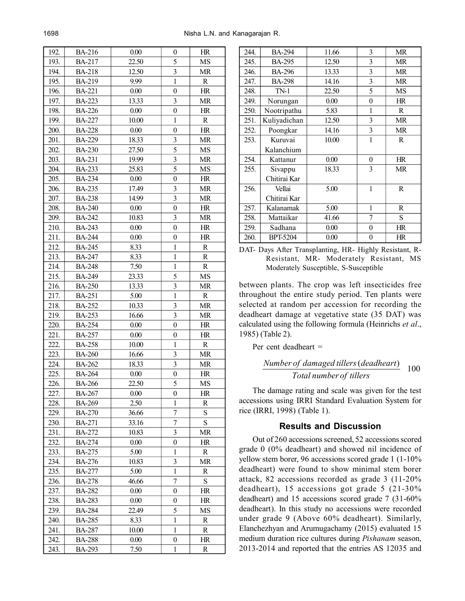| 192. | <b>BA-216</b> | 0.00  | 0                       | HR                         |
|------|---------------|-------|-------------------------|----------------------------|
| 193. | <b>BA-217</b> | 22.50 | 5                       | MS                         |
| 194. | <b>BA-218</b> | 12.50 | $\overline{\mathbf{3}}$ | MR                         |
| 195. | BA-219        | 9.99  | $\mathbf{1}$            | $\mathbf R$                |
| 196. | <b>BA-221</b> | 0.00  | $\boldsymbol{0}$        | HR                         |
| 197. | <b>BA-223</b> | 13.33 | $\overline{\mathbf{3}}$ | $\ensuremath{\mathsf{MR}}$ |
| 198. | <b>BA-226</b> | 0.00  | $\boldsymbol{0}$        | HR                         |
| 199. | <b>BA-227</b> | 10.00 | $\mathbf{1}$            | ${\bf R}$                  |
| 200. | <b>BA-228</b> | 0.00  | $\boldsymbol{0}$        | HR                         |
| 201. | <b>BA-229</b> | 18.33 | $\overline{\mathbf{3}}$ | MR                         |
| 202. | <b>BA-230</b> | 27.50 | $\overline{5}$          | MS                         |
| 203. | <b>BA-231</b> | 19.99 | 3                       | MR                         |
| 204. | <b>BA-233</b> | 25.83 | 5                       | MS                         |
| 205. | <b>BA-234</b> | 0.00  | $\boldsymbol{0}$        | HR                         |
| 206. | <b>BA-235</b> | 17.49 | $\overline{\mathbf{3}}$ | <b>MR</b>                  |
| 207. | <b>BA-238</b> | 14.99 | $\overline{\mathbf{3}}$ | <b>MR</b>                  |
| 208. | <b>BA-240</b> | 0.00  | $\boldsymbol{0}$        | HR                         |
| 209. | <b>BA-242</b> | 10.83 | 3                       | <b>MR</b>                  |
| 210. | <b>BA-243</b> | 0.00  | $\boldsymbol{0}$        | HR                         |
| 211. | <b>BA-244</b> | 0.00  | $\boldsymbol{0}$        | HR                         |
| 212. | <b>BA-245</b> | 8.33  | 1                       | $\mathbb{R}$               |
| 213. | <b>BA-247</b> | 8.33  | $\mathbf{1}$            | ${\bf R}$                  |
| 214. | <b>BA-248</b> | 7.50  | $\mathbf{1}$            | ${\bf R}$                  |
| 215. | <b>BA-249</b> | 23.33 | 5                       | MS                         |
| 216. | <b>BA-250</b> | 13.33 | $\overline{\mathbf{3}}$ | <b>MR</b>                  |
| 217. | <b>BA-251</b> | 5.00  | $\mathbf{1}$            | R                          |
| 218. | <b>BA-252</b> | 10.33 | 3                       | MR                         |
| 219. | <b>BA-253</b> | 16.66 | 3                       | MR                         |
| 220. | <b>BA-254</b> | 0.00  | $\boldsymbol{0}$        | $\rm{HR}$                  |
| 221. | <b>BA-257</b> | 0.00  | $\boldsymbol{0}$        | HR                         |
| 222. | <b>BA-258</b> | 10.00 | $\mathbf{1}$            | $\mathbf R$                |
| 223. | <b>BA-260</b> | 16.66 | 3                       | <b>MR</b>                  |
| 224. | <b>BA-262</b> | 18.33 | $\overline{\mathbf{3}}$ | MR                         |
| 225. | <b>BA-264</b> | 0.00  | $\boldsymbol{0}$        | HR                         |
| 226. | <b>BA-266</b> | 22.50 | $\overline{5}$          | MS                         |
| 227. | <b>BA-267</b> | 0.00  | 0                       | HR                         |
| 228. | <b>BA-269</b> | 2.50  | 1                       | R                          |
| 229. | <b>BA-270</b> | 36.66 | $\boldsymbol{7}$        | S                          |
| 230. | <b>BA-271</b> | 33.16 | $\overline{7}$          | S                          |
| 231. | BA-272        | 10.83 | 3                       | MR                         |
| 232. | <b>BA-274</b> | 0.00  | $\boldsymbol{0}$        | HR                         |
| 233. | <b>BA-275</b> | 5.00  | 1                       | $\mathbf R$                |
| 234. | <b>BA-276</b> | 10.83 | $\overline{\mathbf{3}}$ | MR                         |
| 235. | <b>BA-277</b> | 5.00  | 1                       | R                          |
| 236. | BA-278        | 46.66 | $\overline{7}$          | S                          |
| 237. | BA-282        | 0.00  | $\boldsymbol{0}$        | HR                         |
| 238. | BA-283        | 0.00  | 0                       | HR                         |
| 239. | <b>BA-284</b> | 22.49 | 5                       | MS                         |
| 240. | <b>BA-285</b> | 8.33  | 1                       | R                          |
| 241. | <b>BA-287</b> | 10.00 | $\mathbf{1}$            | $\mathbf R$                |
| 242. | <b>BA-288</b> | 0.00  | $\boldsymbol{0}$        | HR                         |
| 243. | <b>BA-293</b> | 7.50  | $\mathbf{1}$            | R                          |

| 244. | <b>BA-294</b>   | 11.66 | 3 | <b>MR</b>    |
|------|-----------------|-------|---|--------------|
| 245. | <b>BA-295</b>   | 12.50 | 3 | <b>MR</b>    |
| 246. | <b>BA-296</b>   | 13.33 | 3 | <b>MR</b>    |
| 247. | <b>BA-298</b>   | 14.16 | 3 | <b>MR</b>    |
| 248. | $TN-1$          | 22.50 | 5 | MS           |
| 249. | Norungan        | 0.00  | 0 | HR           |
| 250. | Nootripathu     | 5.83  | 1 | R.           |
| 251. | Kuliyadichan    | 12.50 | 3 | <b>MR</b>    |
| 252. | Poongkar        | 14.16 | 3 | <b>MR</b>    |
| 253. | Kuruvai         | 10.00 | 1 | $\mathsf{R}$ |
|      | Kalanchium      |       |   |              |
| 254. | Kattanur        | 0.00  | 0 | HR           |
| 255. | Sivappu         | 18.33 | 3 | <b>MR</b>    |
|      | Chitirai Kar    |       |   |              |
| 256. | Vellai          | 5.00  | 1 | R            |
|      | Chitirai Kar    |       |   |              |
| 257. | Kalanamak       | 5.00  | 1 | R            |
| 258. | Mattaikar       | 41.66 | 7 | S            |
| 259. | Sadhana         | 0.00  | 0 | HR           |
| 260. | <b>BPT-5204</b> | 0.00  | 0 | HR           |
|      |                 |       |   |              |

DAT- Days After Transplanting, HR- Highly Resistant, R-Resistant, MR- Moderately Resistant, MS Moderately Susceptible, S-Susceptible

between plants. The crop was left insecticides free throughout the entire study period. Ten plants were selected at random per accession for recording the deadheart damage at vegetative state (35 DAT) was calculated using the following formula (Heinrichs *et al*., 1985) (Table 2).

Per cent deadheart =

<sup>100</sup> ( ) *Total number of tillers Number of damaged tillers deadheart*

The damage rating and scale was given for the test accessions using IRRI Standard Evaluation System for rice (IRRI, 1998) (Table 1).

### **Results and Discussion**

Out of 260 accessions screened, 52 accessions scored grade 0 (0% deadheart) and showed nil incidence of yellow stem borer, 96 accessions scored grade 1 (1-10% deadheart) were found to show minimal stem borer attack, 82 accessions recorded as grade 3 (11-20% deadheart), 15 accessions got grade 5 (21-30% deadheart) and 15 accessions scored grade 7 (31-60% deadheart). In this study no accessions were recorded under grade 9 (Above 60% deadheart). Similarly, Elanchezhyan and Arumugachamy (2015) evaluated 15 medium duration rice cultures during *Pishanam* season, 2013-2014 and reported that the entries AS 12035 and